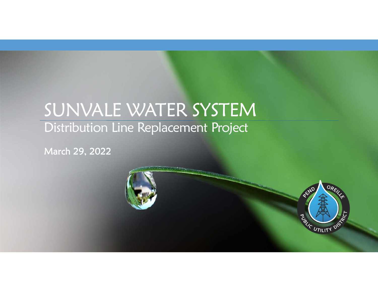### SUNVALE WATER SYSTEM Distribution Line Replacement Project

March 29, 2022

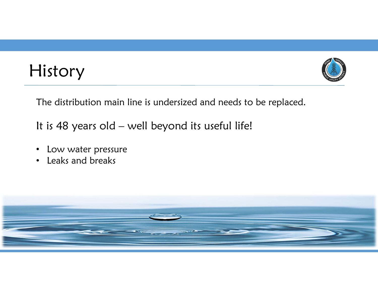

History

The distribution main line is undersized and needs to be replaced.

It is 48 years old – well beyond its useful life!

- Low water pressure
- $\bullet$ Leaks and breaks

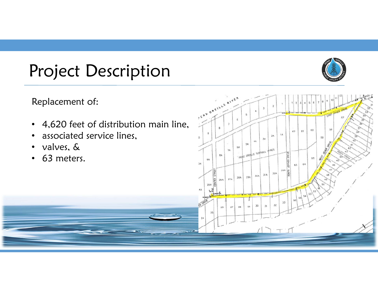## Project Description



Replacement of:

- $\bullet$ 4,620 feet of distribution main line,
- $\bullet$ associated service lines,
- $\bullet$ valves, &
- $\bullet$ 63 meters.

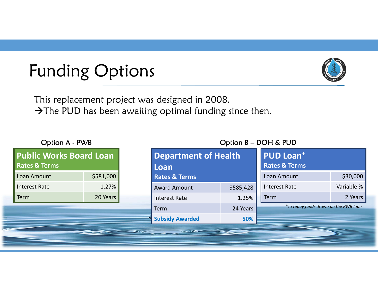# Funding Options

**The Second Second Second Second Second Second Second Second Second Second Second Second** 



This replacement project was designed in 2008.  $\rightarrow$  The PUD has been awaiting optimal funding since then.

| Option A - PWB |                                                            |           |                          | Option B - DOH & PUD                |           |                                                         |            |
|----------------|------------------------------------------------------------|-----------|--------------------------|-------------------------------------|-----------|---------------------------------------------------------|------------|
|                | <b>Public Works Board Loan</b><br><b>Rates &amp; Terms</b> |           |                          | <b>Department of Health</b><br>Loan |           | <b>PUD Loan<sup>+</sup></b><br><b>Rates &amp; Terms</b> |            |
|                | Loan Amount                                                | \$581,000 | <b>Rates &amp; Terms</b> |                                     |           | Loan Amount                                             | \$30,000   |
|                | <b>Interest Rate</b>                                       | 1.27%     |                          | <b>Award Amount</b>                 | \$585,428 | <b>Interest Rate</b>                                    | Variable % |
|                | Term                                                       | 20 Years  |                          | Interest Rate                       | 1.25%     | Term                                                    | 2 Years    |
|                |                                                            |           |                          | Term                                | 24 Years  | <sup>+</sup> To repay funds drawn on the PWB loan       |            |
|                |                                                            |           |                          | <b>Subsidy Awarded</b>              | 50%       |                                                         |            |
|                |                                                            |           | SOFFEE                   | $\rightarrow$                       |           |                                                         |            |
|                |                                                            |           |                          |                                     |           |                                                         |            |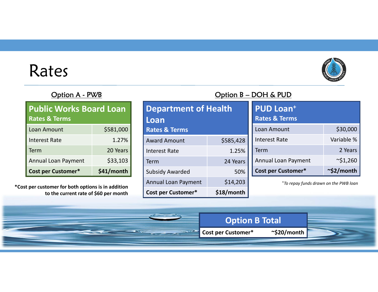## Rates



| <b>Public Works Board Loan</b><br><b>Rates &amp; Terms</b> |            |  |  |  |
|------------------------------------------------------------|------------|--|--|--|
| Loan Amount                                                | \$581,000  |  |  |  |
| <b>Interest Rate</b>                                       | 1.27%      |  |  |  |
| Term                                                       | 20 Years   |  |  |  |
| <b>Annual Loan Payment</b>                                 | \$33,103   |  |  |  |
| <b>Cost per Customer*</b>                                  | \$41/month |  |  |  |

**\*Cost per customer for both options is in addition to the current rate of \$60 per month**

#### **Department of Health LoanRates & Terms** Award Amount \$585,428 Interest Rate 1.25% Term 24 Years Subsidy Awarded 50% Annual Loan Payment \$14,203 **Cost per Customer\* \$18/month**

#### Option A - PWB Contact Contact Contact Contact Contact Contact Contact Contact Contact Contact Contact Contact Contact Contact Contact Contact Contact Contact Contact Contact Contact Contact Contact Contact Contact Contact

**Option B Total**

**Cost per Customer\* ~\$20/month**

| <b>PUD Loan<sup>+</sup></b><br><b>Rates &amp; Terms</b> |                  |
|---------------------------------------------------------|------------------|
| Loan Amount                                             | \$30,000         |
| <b>Interest Rate</b>                                    | Variable %       |
| Term                                                    | 2 Years          |
| <b>Annual Loan Payment</b>                              | $\sim$ \$1,260   |
| <b>Cost per Customer*</b>                               | $\sim$ \$2/month |

<sup>+</sup>*To repay funds drawn on the PWB loan*